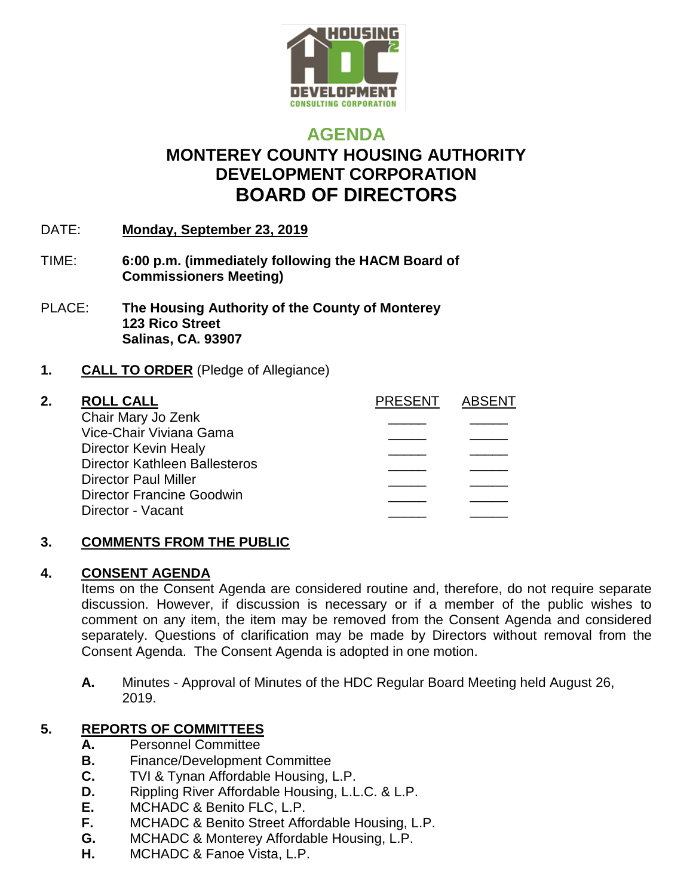

# **AGENDA MONTEREY COUNTY HOUSING AUTHORITY DEVELOPMENT CORPORATION BOARD OF DIRECTORS**

- DATE: **Monday, September 23, 2019**
- TIME: **6:00 p.m. (immediately following the HACM Board of Commissioners Meeting)**
- PLACE: **The Housing Authority of the County of Monterey 123 Rico Street Salinas, CA. 93907**

### **1. CALL TO ORDER** (Pledge of Allegiance)

### **2. ROLL CALL PRESENT ABSENT**

| Chair Mary Jo Zenk                   |  |
|--------------------------------------|--|
| Vice-Chair Viviana Gama              |  |
| Director Kevin Healy                 |  |
| <b>Director Kathleen Ballesteros</b> |  |
| <b>Director Paul Miller</b>          |  |
| <b>Director Francine Goodwin</b>     |  |
| Director - Vacant                    |  |
|                                      |  |

### **3. COMMENTS FROM THE PUBLIC**

### **4. CONSENT AGENDA**

Items on the Consent Agenda are considered routine and, therefore, do not require separate discussion. However, if discussion is necessary or if a member of the public wishes to comment on any item, the item may be removed from the Consent Agenda and considered separately. Questions of clarification may be made by Directors without removal from the Consent Agenda. The Consent Agenda is adopted in one motion.

**A.** Minutes - Approval of Minutes of the HDC Regular Board Meeting held August 26, 2019.

## **5. REPORTS OF COMMITTEES**

- **A.** Personnel Committee
- **B.** Finance/Development Committee
- **C.** TVI & Tynan Affordable Housing, L.P.
- **D.** Rippling River Affordable Housing, L.L.C. & L.P.
- **E.** MCHADC & Benito FLC, L.P.
- **F.** MCHADC & Benito Street Affordable Housing, L.P.
- **G.** MCHADC & Monterey Affordable Housing, L.P.
- **H.** MCHADC & Fanoe Vista, L.P.